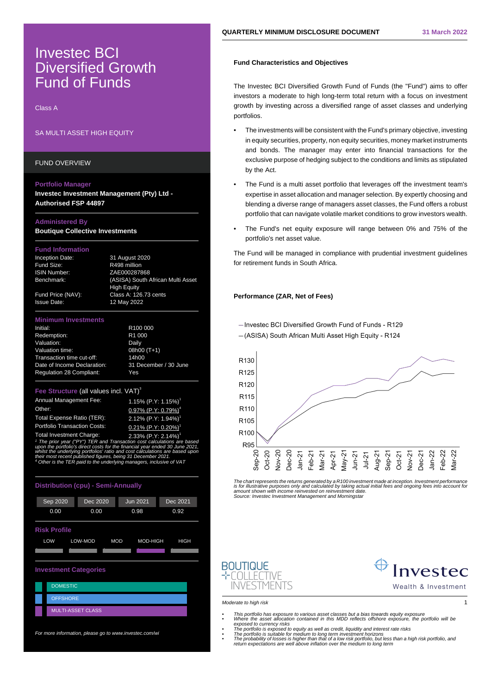# Investec BCI Diversified Growth Fund of Funds

Class A

# SA MULTI ASSET HIGH EQUITY

FUND OVERVIEW

### **Portfolio Manager**

**Investec Investment Management (Pty) Ltd - Authorised FSP 44897**

## **Administered By**

**Boutique Collective Investments**

## **Fund Information**

Fund Size: R498 million

Inception Date: 31 August 2020 ISIN Number: ZAE000287868 Benchmark: (ASISA) South African Multi Asset High Equity Fund Price (NAV): Class A: 126.73 cents Issue Date: 12 May 2022

### **Minimum Investments**

| Initial:                        | R <sub>100</sub> 000  |
|---------------------------------|-----------------------|
| Redemption:                     | R <sub>1</sub> 000    |
| Valuation:                      | Daily                 |
| Valuation time:                 | 08h00 (T+1)           |
| Transaction time cut-off:       | 14h00                 |
| Date of Income Declaration:     | 31 December / 30 June |
| <b>Regulation 28 Compliant:</b> | Yes                   |

#### **Fee Structure (all values incl. VAT)<sup>3</sup>**

| Annual Management Fee:              | 1.15% (P.Y: 1.15%) <sup>1</sup>                |
|-------------------------------------|------------------------------------------------|
| Other:                              | $0.97\%$ (P.Y: 0. $\frac{\%}{\ }$ <sup>4</sup> |
| Total Expense Ratio (TER):          | %1<br>2.12% (P.Y:                              |
| <b>Portfolio Transaction Costs:</b> | $0.21\%$ (P.Y: 0.2 %) <sup>1</sup>             |
| Total Investment Charge:            | 2.33% $(P.Y: 2. \%)^1$                         |

1 The prior year ("PY") TER and Transaction cost calculations are based upon the portfolio's direct costs for the financial year ended 30 June 2021, whilst the underlying portfolios' ratio and cost calculations are based upor. their most recent published figures, being 31 December 2021. 4 Other is the TER paid to the underlying managers, inclusive of VAT

| <b>Distribution (cpu) - Semi-Annually</b>               |                          |          |          |  |
|---------------------------------------------------------|--------------------------|----------|----------|--|
| Sep 2020                                                | Dec 2020                 | Jun 2021 | Dec 2021 |  |
| 0.00                                                    | 0.00                     | 0.98     | 0.92     |  |
| <b>Risk Profile</b>                                     |                          |          |          |  |
| LOW<br>LOW-MOD<br><b>MOD</b><br><b>HIGH</b><br>MOD-HIGH |                          |          |          |  |
|                                                         |                          |          |          |  |
| <b>Investment Categories</b>                            |                          |          |          |  |
| <b>DOMESTIC</b>                                         |                          |          |          |  |
| <b>OFFSHORE</b>                                         |                          |          |          |  |
|                                                         | <b>MULTI-ASSET CLASS</b> |          |          |  |
|                                                         |                          |          |          |  |

For more information, please go to www.investec.com/wi

# **Fund Characteristics and Objectives**

The Investec BCI Diversified Growth Fund of Funds (the "Fund") aims to offer investors a moderate to high long-term total return with a focus on investment growth by investing across a diversified range of asset classes and underlying portfolios.

- The investments will be consistent with the Fund's primary objective, investing in equity securities, property, non equity securities, money market instruments and bonds. The manager may enter into financial transactions for the exclusive purpose of hedging subject to the conditions and limits as stipulated by the Act.
- The Fund is a multi asset portfolio that leverages off the investment team's expertise in asset allocation and manager selection. By expertly choosing and blending a diverse range of managers asset classes, the Fund offers a robust portfolio that can navigate volatile market conditions to grow investors wealth.
- The Fund's net equity exposure will range between 0% and 75% of the portfolio's net asset value.

The Fund will be managed in compliance with prudential investment guidelines for retirement funds in South Africa.

## **Performance (ZAR, Net of Fees)**

-Invested BCI Diversified Growth Fund of Funds - R129

-(ASISA) South African Multi Asset High Equity - R124



The chart represents the returns generated by a R100 investment made at inception. Investment performance is for illustrative purposes only and calculated by taking actual initial fees and ongoing fees into account for amount shown with income reinvested on reinvestment date. Source: Investec Investment Management and Morningstar





Moderate to high risk 1

- This portfolio has exposure to various asset classes but a bias towards equity exposure<br>• Where the asset allocation contained in this MDD reflects offshore exposure, the portfolio will be<br>• The portfolio is exposed to e
	-
	-
- return expectations are well above inflation over the medium to long term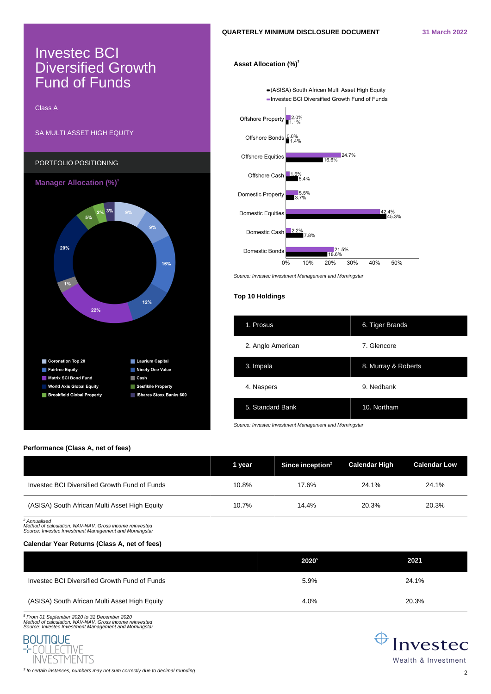# Investec BCI **Diversified Growth** Fund of Funds

Class A



# **Asset Allocation (%)<sup>3</sup>**

-(ASISA) South African Multi Asset High Equity - Investec BCI Diversified Growth Fund of Funds



Source: Investec Investment Management and Morningstar

## **Top 10 Holdings**

| 1. Prosus         | 6. Tiger Brands     |
|-------------------|---------------------|
| 2. Anglo American | 7. Glencore         |
| 3. Impala         | 8. Murray & Roberts |
| 4. Naspers        | 9. Nedbank          |
| 5. Standard Bank  | 10. Northam         |

Source: Investec Investment Management and Morningstar

## **Performance (Class A, net of fees)**

|                                               | 1 year | Since inception <sup>2</sup> | <b>Calendar High</b> | <b>Calendar Low</b> |
|-----------------------------------------------|--------|------------------------------|----------------------|---------------------|
| Investec BCI Diversified Growth Fund of Funds | 10.8%  | 17.6%                        | 24.1%                | 24.1%               |
| (ASISA) South African Multi Asset High Equity | 10.7%  | 14.4%                        | 20.3%                | 20.3%               |

2 Annualised Method of calculation: NAV-NAV. Gross income reinvested Source: Investec Investment Management and Morningstar

# **Calendar Year Returns (Class A, net of fees)**

|                                               | 20205 | 2021  |
|-----------------------------------------------|-------|-------|
| Investec BCI Diversified Growth Fund of Funds | 5.9%  | 24.1% |
| (ASISA) South African Multi Asset High Equity | 4.0%  | 20.3% |

5 From 01 September 2020 to 31 December 2020 Method of calculation: NAV-NAV. Gross income reinvested Source: Investec Investment Management and Morningstar